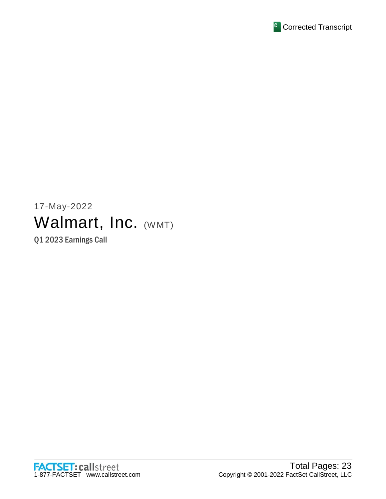

# 17-May-2022 Walmart, Inc. (WMT)

Q1 2023 Earnings Call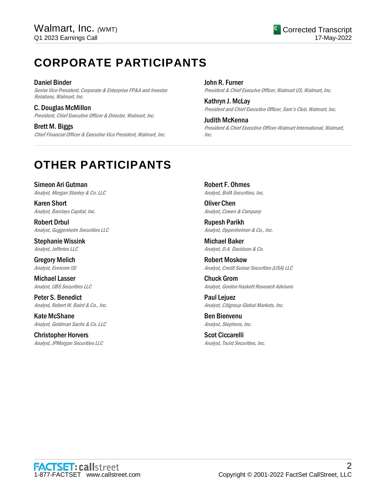## **CORPORATE PARTICIPANTS**

Daniel Binder Senior Vice President, Corporate & Enterprise FP&A and Investor Relations, Walmart, Inc.

C. Douglas McMillon President, Chief Executive Officer & Director, Walmart, Inc.

Brett M. Biggs Chief Financial Officer & Executive Vice President, Walmart, Inc. John R. Furner President & Chief Executve Officer, Walmart US, Walmart, Inc.

Kathryn J. McLay President and Chief Executive Officer, Sam's Club, Walmart, Inc.

Judith McKenna President & Chief Executive Officer-Walmart International, Walmart, Inc.

## **OTHER PARTICIPANTS**

Simeon Ari Gutman Analyst, Morgan Stanley & Co. LLC

Karen Short Analyst, Barclays Capital, Inc.

Robert Drbul Analyst, Guggenheim Securities LLC

Stephanie Wissink Analyst, Jefferies LLC

Gregory Melich Analyst, Evercore ISI

Michael Lasser Analyst, UBS Securities LLC

Peter S. Benedict Analyst, Robert W. Baird & Co., Inc.

Kate McShane Analyst, Goldman Sachs & Co. LLC

Christopher Horvers Analyst, JPMorgan Securities LLC Robert F. Ohmes Analyst, BofA Securities, Inc.

.....................................................................................................................................................................................................................................................................

Oliver Chen Analyst, Cowen & Company

Rupesh Parikh Analyst, Oppenheimer & Co., Inc.

Michael Baker Analyst, D.A. Davidson & Co.

Robert Moskow Analyst, Credit Suisse Securities (USA) LLC

Chuck Grom Analyst, Gordon Haskett Research Advisors

Paul Lejuez Analyst, Citigroup Global Markets, Inc.

Ben Bienvenu Analyst, Stephens, Inc.

Scot Ciccarelli Analyst, Truist Securities, Inc.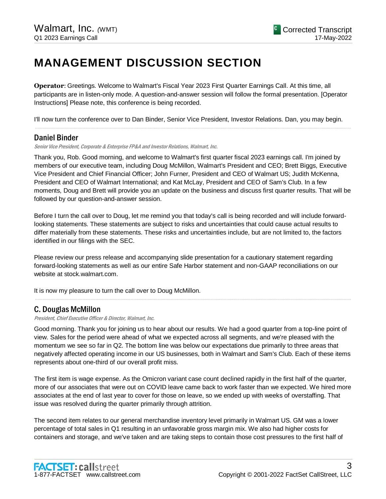## **MANAGEMENT DISCUSSION SECTION**

**Operator**: Greetings. Welcome to Walmart's Fiscal Year 2023 First Quarter Earnings Call. At this time, all participants are in listen-only mode. A question-and-answer session will follow the formal presentation. [Operator Instructions] Please note, this conference is being recorded.

I'll now turn the conference over to Dan Binder, Senior Vice President, Investor Relations. Dan, you may begin. .....................................................................................................................................................................................................................................................................

## Daniel Binder

Senior Vice President, Corporate & Enterprise FP&A and Investor Relations, Walmart, Inc.

Thank you, Rob. Good morning, and welcome to Walmart's first quarter fiscal 2023 earnings call. I'm joined by members of our executive team, including Doug McMillon, Walmart's President and CEO; Brett Biggs, Executive Vice President and Chief Financial Officer; John Furner, President and CEO of Walmart US; Judith McKenna, President and CEO of Walmart International; and Kat McLay, President and CEO of Sam's Club. In a few moments, Doug and Brett will provide you an update on the business and discuss first quarter results. That will be followed by our question-and-answer session.

Before I turn the call over to Doug, let me remind you that today's call is being recorded and will include forwardlooking statements. These statements are subject to risks and uncertainties that could cause actual results to differ materially from these statements. These risks and uncertainties include, but are not limited to, the factors identified in our filings with the SEC.

Please review our press release and accompanying slide presentation for a cautionary statement regarding forward-looking statements as well as our entire Safe Harbor statement and non-GAAP reconciliations on our website at stock.walmart.com.

It is now my pleasure to turn the call over to Doug McMillon.

## C. Douglas McMillon

President, Chief Executive Officer & Director, Walmart, Inc.

Good morning. Thank you for joining us to hear about our results. We had a good quarter from a top-line point of view. Sales for the period were ahead of what we expected across all segments, and we're pleased with the momentum we see so far in Q2. The bottom line was below our expectations due primarily to three areas that negatively affected operating income in our US businesses, both in Walmart and Sam's Club. Each of these items represents about one-third of our overall profit miss.

.....................................................................................................................................................................................................................................................................

The first item is wage expense. As the Omicron variant case count declined rapidly in the first half of the quarter, more of our associates that were out on COVID leave came back to work faster than we expected. We hired more associates at the end of last year to cover for those on leave, so we ended up with weeks of overstaffing. That issue was resolved during the quarter primarily through attrition.

The second item relates to our general merchandise inventory level primarily in Walmart US. GM was a lower percentage of total sales in Q1 resulting in an unfavorable gross margin mix. We also had higher costs for containers and storage, and we've taken and are taking steps to contain those cost pressures to the first half of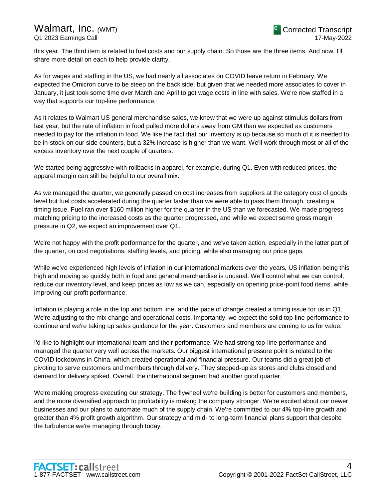this year. The third item is related to fuel costs and our supply chain. So those are the three items. And now, I'll share more detail on each to help provide clarity.

As for wages and staffing in the US, we had nearly all associates on COVID leave return in February. We expected the Omicron curve to be steep on the back side, but given that we needed more associates to cover in January, it just took some time over March and April to get wage costs in line with sales. We're now staffed in a way that supports our top-line performance.

As it relates to Walmart US general merchandise sales, we knew that we were up against stimulus dollars from last year, but the rate of inflation in food pulled more dollars away from GM than we expected as customers needed to pay for the inflation in food. We like the fact that our inventory is up because so much of it is needed to be in-stock on our side counters, but a 32% increase is higher than we want. We'll work through most or all of the excess inventory over the next couple of quarters.

We started being aggressive with rollbacks in apparel, for example, during Q1. Even with reduced prices, the apparel margin can still be helpful to our overall mix.

As we managed the quarter, we generally passed on cost increases from suppliers at the category cost of goods level but fuel costs accelerated during the quarter faster than we were able to pass them through, creating a timing issue. Fuel ran over \$160 million higher for the quarter in the US than we forecasted. We made progress matching pricing to the increased costs as the quarter progressed, and while we expect some gross margin pressure in Q2, we expect an improvement over Q1.

We're not happy with the profit performance for the quarter, and we've taken action, especially in the latter part of the quarter, on cost negotiations, staffing levels, and pricing, while also managing our price gaps.

While we've experienced high levels of inflation in our international markets over the years, US inflation being this high and moving so quickly both in food and general merchandise is unusual. We'll control what we can control, reduce our inventory level, and keep prices as low as we can, especially on opening price-point food items, while improving our profit performance.

Inflation is playing a role in the top and bottom line, and the pace of change created a timing issue for us in Q1. We're adjusting to the mix change and operational costs. Importantly, we expect the solid top-line performance to continue and we're taking up sales guidance for the year. Customers and members are coming to us for value.

I'd like to highlight our international team and their performance. We had strong top-line performance and managed the quarter very well across the markets. Our biggest international pressure point is related to the COVID lockdowns in China, which created operational and financial pressure. Our teams did a great job of pivoting to serve customers and members through delivery. They stepped-up as stores and clubs closed and demand for delivery spiked. Overall, the international segment had another good quarter.

We're making progress executing our strategy. The flywheel we're building is better for customers and members, and the more diversified approach to profitability is making the company stronger. We're excited about our newer businesses and our plans to automate much of the supply chain. We're committed to our 4% top-line growth and greater than 4% profit growth algorithm. Our strategy and mid- to long-term financial plans support that despite the turbulence we're managing through today.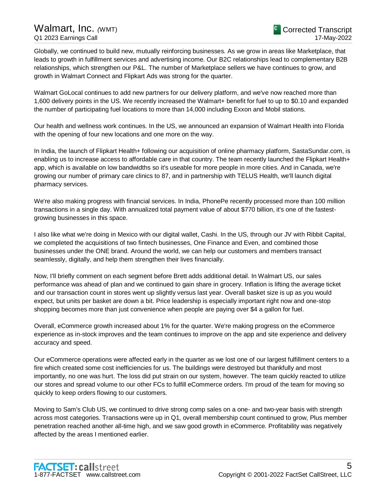Globally, we continued to build new, mutually reinforcing businesses. As we grow in areas like Marketplace, that leads to growth in fulfillment services and advertising income. Our B2C relationships lead to complementary B2B relationships, which strengthen our P&L. The number of Marketplace sellers we have continues to grow, and growth in Walmart Connect and Flipkart Ads was strong for the quarter.

Walmart GoLocal continues to add new partners for our delivery platform, and we've now reached more than 1,600 delivery points in the US. We recently increased the Walmart+ benefit for fuel to up to \$0.10 and expanded the number of participating fuel locations to more than 14,000 including Exxon and Mobil stations.

Our health and wellness work continues. In the US, we announced an expansion of Walmart Health into Florida with the opening of four new locations and one more on the way.

In India, the launch of Flipkart Health+ following our acquisition of online pharmacy platform, SastaSundar.com, is enabling us to increase access to affordable care in that country. The team recently launched the Flipkart Health+ app, which is available on low bandwidths so it's useable for more people in more cities. And in Canada, we're growing our number of primary care clinics to 87, and in partnership with TELUS Health, we'll launch digital pharmacy services.

We're also making progress with financial services. In India, PhonePe recently processed more than 100 million transactions in a single day. With annualized total payment value of about \$770 billion, it's one of the fastestgrowing businesses in this space.

I also like what we're doing in Mexico with our digital wallet, Cashi. In the US, through our JV with Ribbit Capital, we completed the acquisitions of two fintech businesses, One Finance and Even, and combined those businesses under the ONE brand. Around the world, we can help our customers and members transact seamlessly, digitally, and help them strengthen their lives financially.

Now, I'll briefly comment on each segment before Brett adds additional detail. In Walmart US, our sales performance was ahead of plan and we continued to gain share in grocery. Inflation is lifting the average ticket and our transaction count in stores went up slightly versus last year. Overall basket size is up as you would expect, but units per basket are down a bit. Price leadership is especially important right now and one-stop shopping becomes more than just convenience when people are paying over \$4 a gallon for fuel.

Overall, eCommerce growth increased about 1% for the quarter. We're making progress on the eCommerce experience as in-stock improves and the team continues to improve on the app and site experience and delivery accuracy and speed.

Our eCommerce operations were affected early in the quarter as we lost one of our largest fulfillment centers to a fire which created some cost inefficiencies for us. The buildings were destroyed but thankfully and most importantly, no one was hurt. The loss did put strain on our system, however. The team quickly reacted to utilize our stores and spread volume to our other FCs to fulfill eCommerce orders. I'm proud of the team for moving so quickly to keep orders flowing to our customers.

Moving to Sam's Club US, we continued to drive strong comp sales on a one- and two-year basis with strength across most categories. Transactions were up in Q1, overall membership count continued to grow, Plus member penetration reached another all-time high, and we saw good growth in eCommerce. Profitability was negatively affected by the areas I mentioned earlier.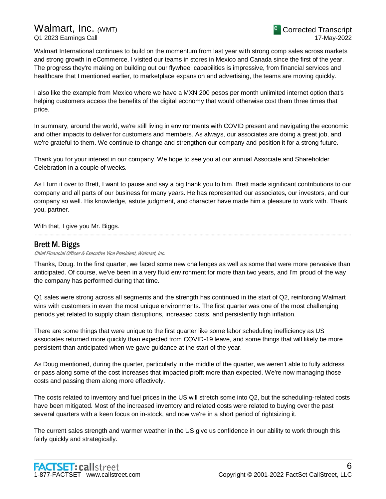Walmart International continues to build on the momentum from last year with strong comp sales across markets and strong growth in eCommerce. I visited our teams in stores in Mexico and Canada since the first of the year. The progress they're making on building out our flywheel capabilities is impressive, from financial services and healthcare that I mentioned earlier, to marketplace expansion and advertising, the teams are moving quickly.

I also like the example from Mexico where we have a MXN 200 pesos per month unlimited internet option that's helping customers access the benefits of the digital economy that would otherwise cost them three times that price.

In summary, around the world, we're still living in environments with COVID present and navigating the economic and other impacts to deliver for customers and members. As always, our associates are doing a great job, and we're grateful to them. We continue to change and strengthen our company and position it for a strong future.

Thank you for your interest in our company. We hope to see you at our annual Associate and Shareholder Celebration in a couple of weeks.

As I turn it over to Brett, I want to pause and say a big thank you to him. Brett made significant contributions to our company and all parts of our business for many years. He has represented our associates, our investors, and our company so well. His knowledge, astute judgment, and character have made him a pleasure to work with. Thank you, partner.

.....................................................................................................................................................................................................................................................................

With that, I give you Mr. Biggs.

## Brett M. Biggs

Chief Financial Officer & Executive Vice President, Walmart, Inc.

Thanks, Doug. In the first quarter, we faced some new challenges as well as some that were more pervasive than anticipated. Of course, we've been in a very fluid environment for more than two years, and I'm proud of the way the company has performed during that time.

Q1 sales were strong across all segments and the strength has continued in the start of Q2, reinforcing Walmart wins with customers in even the most unique environments. The first quarter was one of the most challenging periods yet related to supply chain disruptions, increased costs, and persistently high inflation.

There are some things that were unique to the first quarter like some labor scheduling inefficiency as US associates returned more quickly than expected from COVID-19 leave, and some things that will likely be more persistent than anticipated when we gave guidance at the start of the year.

As Doug mentioned, during the quarter, particularly in the middle of the quarter, we weren't able to fully address or pass along some of the cost increases that impacted profit more than expected. We're now managing those costs and passing them along more effectively.

The costs related to inventory and fuel prices in the US will stretch some into Q2, but the scheduling-related costs have been mitigated. Most of the increased inventory and related costs were related to buying over the past several quarters with a keen focus on in-stock, and now we're in a short period of rightsizing it.

The current sales strength and warmer weather in the US give us confidence in our ability to work through this fairly quickly and strategically.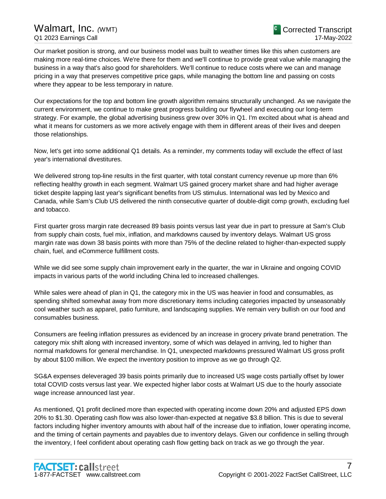## Walmart, Inc. *(*WMT) Q1 2023 Earnings Call

Our market position is strong, and our business model was built to weather times like this when customers are making more real-time choices. We're there for them and we'll continue to provide great value while managing the business in a way that's also good for shareholders. We'll continue to reduce costs where we can and manage pricing in a way that preserves competitive price gaps, while managing the bottom line and passing on costs where they appear to be less temporary in nature.

Our expectations for the top and bottom line growth algorithm remains structurally unchanged. As we navigate the current environment, we continue to make great progress building our flywheel and executing our long-term strategy. For example, the global advertising business grew over 30% in Q1. I'm excited about what is ahead and what it means for customers as we more actively engage with them in different areas of their lives and deepen those relationships.

Now, let's get into some additional Q1 details. As a reminder, my comments today will exclude the effect of last year's international divestitures.

We delivered strong top-line results in the first quarter, with total constant currency revenue up more than 6% reflecting healthy growth in each segment. Walmart US gained grocery market share and had higher average ticket despite lapping last year's significant benefits from US stimulus. International was led by Mexico and Canada, while Sam's Club US delivered the ninth consecutive quarter of double-digit comp growth, excluding fuel and tobacco.

First quarter gross margin rate decreased 89 basis points versus last year due in part to pressure at Sam's Club from supply chain costs, fuel mix, inflation, and markdowns caused by inventory delays. Walmart US gross margin rate was down 38 basis points with more than 75% of the decline related to higher-than-expected supply chain, fuel, and eCommerce fulfillment costs.

While we did see some supply chain improvement early in the quarter, the war in Ukraine and ongoing COVID impacts in various parts of the world including China led to increased challenges.

While sales were ahead of plan in Q1, the category mix in the US was heavier in food and consumables, as spending shifted somewhat away from more discretionary items including categories impacted by unseasonably cool weather such as apparel, patio furniture, and landscaping supplies. We remain very bullish on our food and consumables business.

Consumers are feeling inflation pressures as evidenced by an increase in grocery private brand penetration. The category mix shift along with increased inventory, some of which was delayed in arriving, led to higher than normal markdowns for general merchandise. In Q1, unexpected markdowns pressured Walmart US gross profit by about \$100 million. We expect the inventory position to improve as we go through Q2.

SG&A expenses deleveraged 39 basis points primarily due to increased US wage costs partially offset by lower total COVID costs versus last year. We expected higher labor costs at Walmart US due to the hourly associate wage increase announced last year.

As mentioned, Q1 profit declined more than expected with operating income down 20% and adjusted EPS down 20% to \$1.30. Operating cash flow was also lower-than-expected at negative \$3.8 billion. This is due to several factors including higher inventory amounts with about half of the increase due to inflation, lower operating income, and the timing of certain payments and payables due to inventory delays. Given our confidence in selling through the inventory, I feel confident about operating cash flow getting back on track as we go through the year.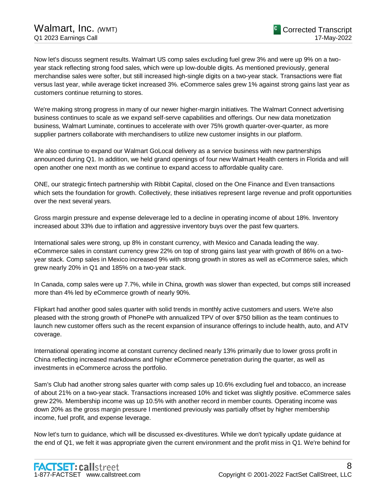Now let's discuss segment results. Walmart US comp sales excluding fuel grew 3% and were up 9% on a twoyear stack reflecting strong food sales, which were up low-double digits. As mentioned previously, general merchandise sales were softer, but still increased high-single digits on a two-year stack. Transactions were flat versus last year, while average ticket increased 3%. eCommerce sales grew 1% against strong gains last year as customers continue returning to stores.

We're making strong progress in many of our newer higher-margin initiatives. The Walmart Connect advertising business continues to scale as we expand self-serve capabilities and offerings. Our new data monetization business, Walmart Luminate, continues to accelerate with over 75% growth quarter-over-quarter, as more supplier partners collaborate with merchandisers to utilize new customer insights in our platform.

We also continue to expand our Walmart GoLocal delivery as a service business with new partnerships announced during Q1. In addition, we held grand openings of four new Walmart Health centers in Florida and will open another one next month as we continue to expand access to affordable quality care.

ONE, our strategic fintech partnership with Ribbit Capital, closed on the One Finance and Even transactions which sets the foundation for growth. Collectively, these initiatives represent large revenue and profit opportunities over the next several years.

Gross margin pressure and expense deleverage led to a decline in operating income of about 18%. Inventory increased about 33% due to inflation and aggressive inventory buys over the past few quarters.

International sales were strong, up 8% in constant currency, with Mexico and Canada leading the way. eCommerce sales in constant currency grew 22% on top of strong gains last year with growth of 86% on a twoyear stack. Comp sales in Mexico increased 9% with strong growth in stores as well as eCommerce sales, which grew nearly 20% in Q1 and 185% on a two-year stack.

In Canada, comp sales were up 7.7%, while in China, growth was slower than expected, but comps still increased more than 4% led by eCommerce growth of nearly 90%.

Flipkart had another good sales quarter with solid trends in monthly active customers and users. We're also pleased with the strong growth of PhonePe with annualized TPV of over \$750 billion as the team continues to launch new customer offers such as the recent expansion of insurance offerings to include health, auto, and ATV coverage.

International operating income at constant currency declined nearly 13% primarily due to lower gross profit in China reflecting increased markdowns and higher eCommerce penetration during the quarter, as well as investments in eCommerce across the portfolio.

Sam's Club had another strong sales quarter with comp sales up 10.6% excluding fuel and tobacco, an increase of about 21% on a two-year stack. Transactions increased 10% and ticket was slightly positive. eCommerce sales grew 22%. Membership income was up 10.5% with another record in member counts. Operating income was down 20% as the gross margin pressure I mentioned previously was partially offset by higher membership income, fuel profit, and expense leverage.

Now let's turn to guidance, which will be discussed ex-divestitures. While we don't typically update guidance at the end of Q1, we felt it was appropriate given the current environment and the profit miss in Q1. We're behind for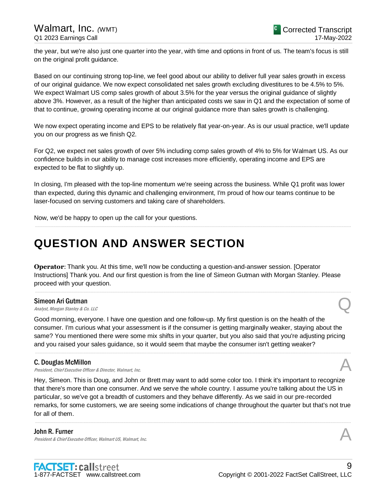the year, but we're also just one quarter into the year, with time and options in front of us. The team's focus is still on the original profit guidance.

Based on our continuing strong top-line, we feel good about our ability to deliver full year sales growth in excess of our original guidance. We now expect consolidated net sales growth excluding divestitures to be 4.5% to 5%. We expect Walmart US comp sales growth of about 3.5% for the year versus the original guidance of slightly above 3%. However, as a result of the higher than anticipated costs we saw in Q1 and the expectation of some of that to continue, growing operating income at our original guidance more than sales growth is challenging.

We now expect operating income and EPS to be relatively flat year-on-year. As is our usual practice, we'll update you on our progress as we finish Q2.

For Q2, we expect net sales growth of over 5% including comp sales growth of 4% to 5% for Walmart US. As our confidence builds in our ability to manage cost increases more efficiently, operating income and EPS are expected to be flat to slightly up.

In closing, I'm pleased with the top-line momentum we're seeing across the business. While Q1 profit was lower than expected, during this dynamic and challenging environment, I'm proud of how our teams continue to be laser-focused on serving customers and taking care of shareholders.

.....................................................................................................................................................................................................................................................................

Now, we'd be happy to open up the call for your questions.

## **QUESTION AND ANSWER SECTION**

**Operator**: Thank you. At this time, we'll now be conducting a question-and-answer session. [Operator Instructions] Thank you. And our first question is from the line of Simeon Gutman with Morgan Stanley. Please proceed with your question.

.....................................................................................................................................................................................................................................................................

#### Simeon Ari Gutman

Simeon Ari Gutman<br>
Analyst, Morgan Stanley & Co. LLC  $\mathcal Q$ 

Good morning, everyone. I have one question and one follow-up. My first question is on the health of the consumer. I'm curious what your assessment is if the consumer is getting marginally weaker, staying about the same? You mentioned there were some mix shifts in your quarter, but you also said that you're adjusting pricing and you raised your sales guidance, so it would seem that maybe the consumer isn't getting weaker?

.....................................................................................................................................................................................................................................................................

#### C. Douglas McMillon

**C. Douglas McMillon**<br>President, Chief Executive Officer & Director, Walmart, Inc.  $\mathcal{A}$ 

Hey, Simeon. This is Doug, and John or Brett may want to add some color too. I think it's important to recognize that there's more than one consumer. And we serve the whole country. I assume you're talking about the US in particular, so we've got a breadth of customers and they behave differently. As we said in our pre-recorded remarks, for some customers, we are seeing some indications of change throughout the quarter but that's not true for all of them.

.....................................................................................................................................................................................................................................................................

#### John R. Furner

President & Chief Executve Officer, Walmart US, Walmart, Inc.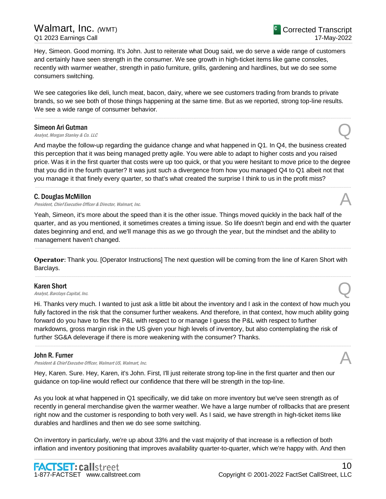Hey, Simeon. Good morning. It's John. Just to reiterate what Doug said, we do serve a wide range of customers and certainly have seen strength in the consumer. We see growth in high-ticket items like game consoles, recently with warmer weather, strength in patio furniture, grills, gardening and hardlines, but we do see some consumers switching.

We see categories like deli, lunch meat, bacon, dairy, where we see customers trading from brands to private brands, so we see both of those things happening at the same time. But as we reported, strong top-line results. We see a wide range of consumer behavior.

.....................................................................................................................................................................................................................................................................

#### Simeon Ari Gutman

Simeon Ari Gutman<br>
Analyst, Morgan Stanley & Co. LLC  $\mathcal{Q}$ 

And maybe the follow-up regarding the guidance change and what happened in Q1. In Q4, the business created this perception that it was being managed pretty agile. You were able to adapt to higher costs and you raised price. Was it in the first quarter that costs were up too quick, or that you were hesitant to move price to the degree that you did in the fourth quarter? It was just such a divergence from how you managed Q4 to Q1 albeit not that you manage it that finely every quarter, so that's what created the surprise I think to us in the profit miss?

.....................................................................................................................................................................................................................................................................

#### C. Douglas McMillon

President, Chief Executive Officer & Director, Walmart, Inc.

Yeah, Simeon, it's more about the speed than it is the other issue. Things moved quickly in the back half of the quarter, and as you mentioned, it sometimes creates a timing issue. So life doesn't begin and end with the quarter dates beginning and end, and we'll manage this as we go through the year, but the mindset and the ability to management haven't changed.

.....................................................................................................................................................................................................................................................................

**Operator**: Thank you. [Operator Instructions] The next question will be coming from the line of Karen Short with Barclays.

.....................................................................................................................................................................................................................................................................

#### Karen Short

**Karen Short**<br>Analyst, Barclays Capital, Inc.  $\bigotimes$ 

Hi. Thanks very much. I wanted to just ask a little bit about the inventory and I ask in the context of how much you fully factored in the risk that the consumer further weakens. And therefore, in that context, how much ability going forward do you have to flex the P&L with respect to or manage I guess the P&L with respect to further markdowns, gross margin risk in the US given your high levels of inventory, but also contemplating the risk of further SG&A deleverage if there is more weakening with the consumer? Thanks.

.....................................................................................................................................................................................................................................................................

#### John R. Furner

President & Chief Executve Officer, Walmart US, Walmart, Inc.

Hey, Karen. Sure. Hey, Karen, it's John. First, I'll just reiterate strong top-line in the first quarter and then our guidance on top-line would reflect our confidence that there will be strength in the top-line.

As you look at what happened in Q1 specifically, we did take on more inventory but we've seen strength as of recently in general merchandise given the warmer weather. We have a large number of rollbacks that are present right now and the customer is responding to both very well. As I said, we have strength in high-ticket items like durables and hardlines and then we do see some switching.

On inventory in particularly, we're up about 33% and the vast majority of that increase is a reflection of both inflation and inventory positioning that improves availability quarter-to-quarter, which we're happy with. And then





10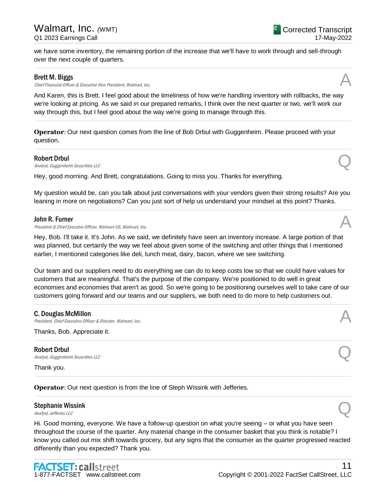we have some inventory, the remaining portion of the increase that we'll have to work through and sell-through over the next couple of quarters. .....................................................................................................................................................................................................................................................................

## Brett M. Biggs

Chief Financial Officer & Executive Vice President, Walmart, Inc.

And Karen, this is Brett. I feel good about the timeliness of how we're handling inventory with rollbacks, the way we're looking at pricing. As we said in our prepared remarks, I think over the next quarter or two, we'll work our way through this, but I feel good about the way we're going to manage through this.

.....................................................................................................................................................................................................................................................................

.....................................................................................................................................................................................................................................................................

**Operator**: Our next question comes from the line of Bob Drbul with Guggenheim. Please proceed with your question.

## Robert Drbul

**Robert Drbul**<br>Analyst, Guggenheim Securities LLC

Hey, good morning. And Brett, congratulations. Going to miss you. Thanks for everything.

My question would be, can you talk about just conversations with your vendors given their strong results? Are you leaning in more on negotiations? Can you just sort of help us understand your mindset at this point? Thanks. .....................................................................................................................................................................................................................................................................

#### John R. Furner

President & Chief Executve Officer, Walmart US, Walmart, Inc.

Hey, Bob. I'll take it. It's John. As we said, we definitely have seen an inventory increase. A large portion of that was planned, but certainly the way we feel about given some of the switching and other things that I mentioned earlier, I mentioned categories like deli, lunch meat, dairy, bacon, where we see switching.

Our team and our suppliers need to do everything we can do to keep costs low so that we could have values for customers that are meaningful. That's the purpose of the company. We're positioned to do well in great economies and economies that aren't as good. So we're going to be positioning ourselves well to take care of our customers going forward and our teams and our suppliers, we both need to do more to help customers out.

.....................................................................................................................................................................................................................................................................

.....................................................................................................................................................................................................................................................................

.....................................................................................................................................................................................................................................................................

.....................................................................................................................................................................................................................................................................

#### C. Douglas McMillon

**C. Douglas McMillon**<br>President, Chief Executive Officer & Director, Walmart, Inc.  $\mathcal{A}$ 

Thanks, Bob. Appreciate it.

Robert Drbul **Robert Drbul**<br>Analyst, Guggenheim Securities LLC

Thank you.

**Operator**: Our next question is from the line of Steph Wissink with Jefferies.

#### Stephanie Wissink

Hi. Good morning, everyone. We have a follow-up question on what you're seeing – or what you have seen throughout the course of the quarter. Any material change in the consumer basket that you think is notable? I know you called out mix shift towards grocery, but any signs that the consumer as the quarter progressed reacted differently than you expected? Thank you.



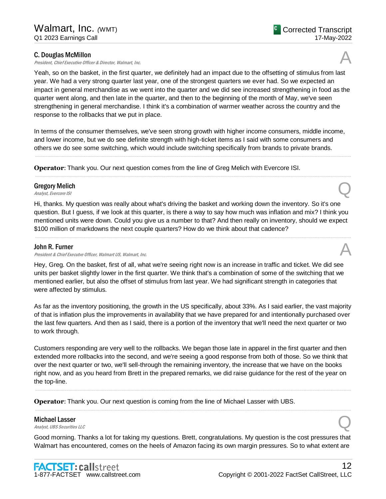#### C. Douglas McMillon

President, Chief Executive Officer & Director, Walmart, Inc.

Yeah, so on the basket, in the first quarter, we definitely had an impact due to the offsetting of stimulus from last year. We had a very strong quarter last year, one of the strongest quarters we ever had. So we expected an impact in general merchandise as we went into the quarter and we did see increased strengthening in food as the quarter went along, and then late in the quarter, and then to the beginning of the month of May, we've seen strengthening in general merchandise. I think it's a combination of warmer weather across the country and the response to the rollbacks that we put in place.

In terms of the consumer themselves, we've seen strong growth with higher income consumers, middle income, and lower income, but we do see definite strength with high-ticket items as I said with some consumers and others we do see some switching, which would include switching specifically from brands to private brands.

.....................................................................................................................................................................................................................................................................

.....................................................................................................................................................................................................................................................................

**Operator**: Thank you. Our next question comes from the line of Greg Melich with Evercore ISI.

## Gregory Melich Gregory Melich  $\bigotimes$  *Analyst, Evercore ISI*

Hi, thanks. My question was really about what's driving the basket and working down the inventory. So it's one question. But I guess, if we look at this quarter, is there a way to say how much was inflation and mix? I think you mentioned units were down. Could you give us a number to that? And then really on inventory, should we expect \$100 million of markdowns the next couple quarters? How do we think about that cadence?

.....................................................................................................................................................................................................................................................................

### John R. Furner

**John R. Furner**<br>President & Chief Executve Officer, Walmart US, Walmart, Inc.  $\mathcal{A}$ 

Hey, Greg. On the basket, first of all, what we're seeing right now is an increase in traffic and ticket. We did see units per basket slightly lower in the first quarter. We think that's a combination of some of the switching that we mentioned earlier, but also the offset of stimulus from last year. We had significant strength in categories that were affected by stimulus.

As far as the inventory positioning, the growth in the US specifically, about 33%. As I said earlier, the vast majority of that is inflation plus the improvements in availability that we have prepared for and intentionally purchased over the last few quarters. And then as I said, there is a portion of the inventory that we'll need the next quarter or two to work through.

Customers responding are very well to the rollbacks. We began those late in apparel in the first quarter and then extended more rollbacks into the second, and we're seeing a good response from both of those. So we think that over the next quarter or two, we'll sell-through the remaining inventory, the increase that we have on the books right now, and as you heard from Brett in the prepared remarks, we did raise guidance for the rest of the year on the top-line.

.....................................................................................................................................................................................................................................................................

.....................................................................................................................................................................................................................................................................

**Operator**: Thank you. Our next question is coming from the line of Michael Lasser with UBS.

#### Michael Lasser

**Michael Lasser**<br>Analyst, UBS Securities LLC

Good morning. Thanks a lot for taking my questions. Brett, congratulations. My question is the cost pressures that Walmart has encountered, comes on the heels of Amazon facing its own margin pressures. So to what extent are



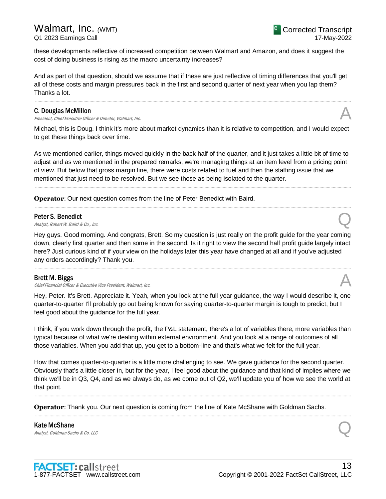these developments reflective of increased competition between Walmart and Amazon, and does it suggest the cost of doing business is rising as the macro uncertainty increases?

And as part of that question, should we assume that if these are just reflective of timing differences that you'll get all of these costs and margin pressures back in the first and second quarter of next year when you lap them? Thanks a lot.

.....................................................................................................................................................................................................................................................................

#### C. Douglas McMillon

President, Chief Executive Officer & Director, Walmart, Inc.

Michael, this is Doug. I think it's more about market dynamics than it is relative to competition, and I would expect to get these things back over time.

As we mentioned earlier, things moved quickly in the back half of the quarter, and it just takes a little bit of time to adjust and as we mentioned in the prepared remarks, we're managing things at an item level from a pricing point of view. But below that gross margin line, there were costs related to fuel and then the staffing issue that we mentioned that just need to be resolved. But we see those as being isolated to the quarter.

.....................................................................................................................................................................................................................................................................

.....................................................................................................................................................................................................................................................................

**Operator**: Our next question comes from the line of Peter Benedict with Baird.

#### Peter S. Benedict

**Peter S. Benedict**  $\bigotimes$ <br>Analyst, Robert W. Baird & Co., Inc.

Hey guys. Good morning. And congrats, Brett. So my question is just really on the profit guide for the year coming down, clearly first quarter and then some in the second. Is it right to view the second half profit guide largely intact here? Just curious kind of if your view on the holidays later this year have changed at all and if you've adjusted any orders accordingly? Thank you.

.....................................................................................................................................................................................................................................................................

#### Brett M. Biggs

Chief Financial Officer & Executive Vice President, Walmart, Inc.

Hey, Peter. It's Brett. Appreciate it. Yeah, when you look at the full year guidance, the way I would describe it, one quarter-to-quarter I'll probably go out being known for saying quarter-to-quarter margin is tough to predict, but I feel good about the guidance for the full year.

I think, if you work down through the profit, the P&L statement, there's a lot of variables there, more variables than typical because of what we're dealing within external environment. And you look at a range of outcomes of all those variables. When you add that up, you get to a bottom-line and that's what we felt for the full year.

How that comes quarter-to-quarter is a little more challenging to see. We gave guidance for the second quarter. Obviously that's a little closer in, but for the year, I feel good about the guidance and that kind of implies where we think we'll be in Q3, Q4, and as we always do, as we come out of Q2, we'll update you of how we see the world at that point.

.....................................................................................................................................................................................................................................................................

.....................................................................................................................................................................................................................................................................

**Operator**: Thank you. Our next question is coming from the line of Kate McShane with Goldman Sachs.

Kate McShane **Kate McShane**<br>Analyst, Goldman Sachs & Co. LLC Quarter of the Control of the Control of the Control of the Control of the Control of the Control of the Control of the Control of the Control of the Control of the Control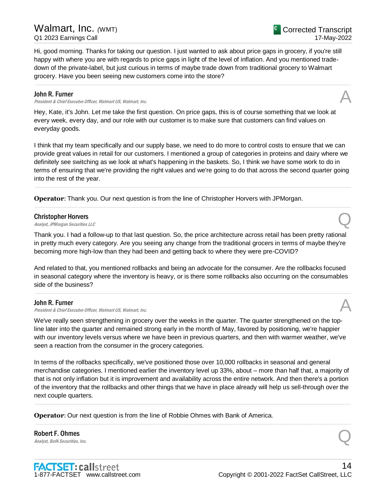Hi, good morning. Thanks for taking our question. I just wanted to ask about price gaps in grocery, if you're still happy with where you are with regards to price gaps in light of the level of inflation. And you mentioned tradedown of the private-label, but just curious in terms of maybe trade down from traditional grocery to Walmart grocery. Have you been seeing new customers come into the store?

.....................................................................................................................................................................................................................................................................

#### John R. Furner

President & Chief Executve Officer, Walmart US, Walmart, Inc.

Hey, Kate, it's John. Let me take the first question. On price gaps, this is of course something that we look at every week, every day, and our role with our customer is to make sure that customers can find values on everyday goods.

I think that my team specifically and our supply base, we need to do more to control costs to ensure that we can provide great values in retail for our customers. I mentioned a group of categories in proteins and dairy where we definitely see switching as we look at what's happening in the baskets. So, I think we have some work to do in terms of ensuring that we're providing the right values and we're going to do that across the second quarter going into the rest of the year.

.....................................................................................................................................................................................................................................................................

.....................................................................................................................................................................................................................................................................

**Operator**: Thank you. Our next question is from the line of Christopher Horvers with JPMorgan.

#### Christopher Horvers

**Christopher Horvers**<br>Analyst, JPMorgan Securities LLC

Thank you. I had a follow-up to that last question. So, the price architecture across retail has been pretty rational in pretty much every category. Are you seeing any change from the traditional grocers in terms of maybe they're becoming more high-low than they had been and getting back to where they were pre-COVID?

And related to that, you mentioned rollbacks and being an advocate for the consumer. Are the rollbacks focused in seasonal category where the inventory is heavy, or is there some rollbacks also occurring on the consumables side of the business?

.....................................................................................................................................................................................................................................................................

#### John R. Furner

President & Chief Executve Officer, Walmart US, Walmart, Inc.

We've really seen strengthening in grocery over the weeks in the quarter. The quarter strengthened on the topline later into the quarter and remained strong early in the month of May, favored by positioning, we're happier with our inventory levels versus where we have been in previous quarters, and then with warmer weather, we've seen a reaction from the consumer in the grocery categories.

In terms of the rollbacks specifically, we've positioned those over 10,000 rollbacks in seasonal and general merchandise categories. I mentioned earlier the inventory level up 33%, about – more than half that, a majority of that is not only inflation but it is improvement and availability across the entire network. And then there's a portion of the inventory that the rollbacks and other things that we have in place already will help us sell-through over the next couple quarters.

.....................................................................................................................................................................................................................................................................

.....................................................................................................................................................................................................................................................................

**Operator**: Our next question is from the line of Robbie Ohmes with Bank of America.

Robert F. Ohmes **Robert F. Ohmes**<br>Analyst, BofA Securities, Inc.  $\bigotimes$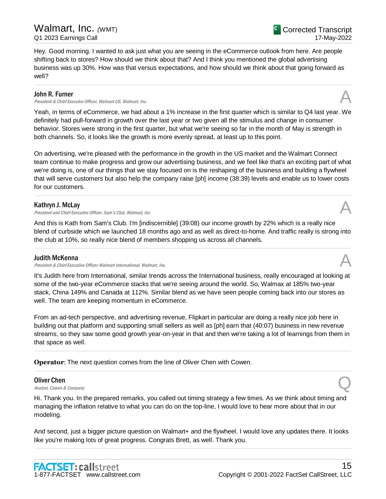Hey. Good morning. I wanted to ask just what you are seeing in the eCommerce outlook from here. Are people shifting back to stores? How should we think about that? And I think you mentioned the global advertising business was up 30%. How was that versus expectations, and how should we think about that going forward as well?

.....................................................................................................................................................................................................................................................................

#### John R. Furner

President & Chief Executve Officer, Walmart US, Walmart, Inc.

Yeah, in terms of eCommerce, we had about a 1% increase in the first quarter which is similar to Q4 last year. We definitely had pull-forward in growth over the last year or two given all the stimulus and change in consumer behavior. Stores were strong in the first quarter, but what we're seeing so far in the month of May is strength in both channels. So, it looks like the growth is more evenly spread, at least up to this point.

On advertising, we're pleased with the performance in the growth in the US market and the Walmart Connect team continue to make progress and grow our advertising business, and we feel like that's an exciting part of what we're doing is, one of our things that we stay focused on is the reshaping of the business and building a flywheel that will serve customers but also help the company raise [ph] income (38:39) levels and enable us to lower costs for our customers.

.....................................................................................................................................................................................................................................................................

#### Kathryn J. McLay

President and Chief Executive Officer, Sam's Club, Walmart, Inc.

And this is Kath from Sam's Club. I'm [indiscernible] (39:08) our income growth by 22% which is a really nice blend of curbside which we launched 18 months ago and as well as direct-to-home. And traffic really is strong into the club at 10%, so really nice blend of members shopping us across all channels.

#### Judith McKenna

President & Chief Executive Officer-Walmart International, Walmart, Inc.

It's Judith here from International, similar trends across the International business, really encouraged at looking at some of the two-year eCommerce stacks that we're seeing around the world. So, Walmax at 185% two-year stack, China 149% and Canada at 112%. Similar blend as we have seen people coming back into our stores as well. The team are keeping momentum in eCommerce.

From an ad-tech perspective, and advertising revenue, Flipkart in particular are doing a really nice job here in building out that platform and supporting small sellers as well as [ph] earn that (40:07) business in new revenue streams, so they saw some good growth year-on-year in that and then we're taking a lot of learnings from them in that space as well.

.....................................................................................................................................................................................................................................................................

.....................................................................................................................................................................................................................................................................

**Operator**: The next question comes from the line of Oliver Chen with Cowen.

#### Oliver Chen

**Oliver Chen**<br>Analyst, Cowen & Company  $\mathbb{Q}$ 

Hi. Thank you. In the prepared remarks, you called out timing strategy a few times. As we think about timing and managing the inflation relative to what you can do on the top-line, I would love to hear more about that in our modeling.

And second, just a bigger picture question on Walmart+ and the flywheel. I would love any updates there. It looks like you're making lots of great progress. Congrats Brett, as well. Thank you. .....................................................................................................................................................................................................................................................................









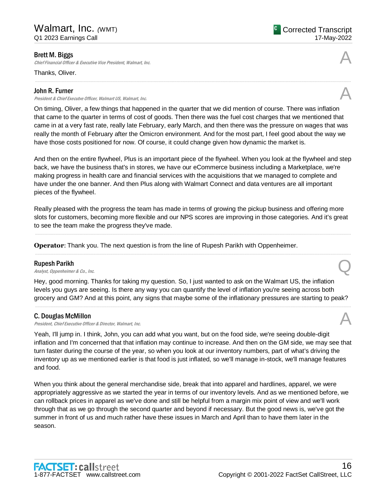Chief Financial Officer & Executive Vice President, Walmart, Inc.

Thanks, Oliver.

#### John R. Furner

**John R. Furner**<br>President & Chief Executve Officer, Walmart US, Walmart, Inc.  $\mathcal{A}$ 

**C** Corrected Transcript 17-May-2022



.....................................................................................................................................................................................................................................................................

And then on the entire flywheel, Plus is an important piece of the flywheel. When you look at the flywheel and step back, we have the business that's in stores, we have our eCommerce business including a Marketplace, we're making progress in health care and financial services with the acquisitions that we managed to complete and have under the one banner. And then Plus along with Walmart Connect and data ventures are all important pieces of the flywheel.

Really pleased with the progress the team has made in terms of growing the pickup business and offering more slots for customers, becoming more flexible and our NPS scores are improving in those categories. And it's great to see the team make the progress they've made.

.....................................................................................................................................................................................................................................................................

.....................................................................................................................................................................................................................................................................

**Operator**: Thank you. The next question is from the line of Rupesh Parikh with Oppenheimer.

#### Rupesh Parikh

**Rupesh Parikh**<br>Analyst, Oppenheimer & Co., Inc.  $\bigotimes$ 

Hey, good morning. Thanks for taking my question. So, I just wanted to ask on the Walmart US, the inflation levels you guys are seeing. Is there any way you can quantify the level of inflation you're seeing across both grocery and GM? And at this point, any signs that maybe some of the inflationary pressures are starting to peak?

.....................................................................................................................................................................................................................................................................

## C. Douglas McMillon

**C. Douglas McMillon**<br>President, Chief Executive Officer & Director, Walmart, Inc.  $\mathcal{A}$ 

Yeah, I'll jump in. I think, John, you can add what you want, but on the food side, we're seeing double-digit inflation and I'm concerned that that inflation may continue to increase. And then on the GM side, we may see that turn faster during the course of the year, so when you look at our inventory numbers, part of what's driving the inventory up as we mentioned earlier is that food is just inflated, so we'll manage in-stock, we'll manage features and food.

When you think about the general merchandise side, break that into apparel and hardlines, apparel, we were appropriately aggressive as we started the year in terms of our inventory levels. And as we mentioned before, we can rollback prices in apparel as we've done and still be helpful from a margin mix point of view and we'll work through that as we go through the second quarter and beyond if necessary. But the good news is, we've got the summer in front of us and much rather have these issues in March and April than to have them later in the season.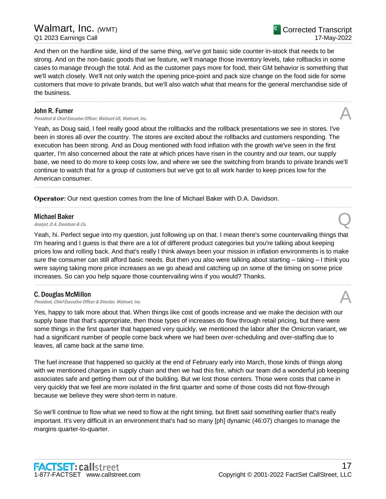And then on the hardline side, kind of the same thing, we've got basic side counter in-stock that needs to be strong. And on the non-basic goods that we feature, we'll manage those inventory levels, take rollbacks in some cases to manage through the total. And as the customer pays more for food, their GM behavior is something that we'll watch closely. We'll not only watch the opening price-point and pack size change on the food side for some customers that move to private brands, but we'll also watch what that means for the general merchandise side of the business.

.....................................................................................................................................................................................................................................................................

#### John R. Furner

President & Chief Executve Officer, Walmart US, Walmart, Inc.

Yeah, as Doug said, I feel really good about the rollbacks and the rollback presentations we see in stores. I've been in stores all over the country. The stores are excited about the rollbacks and customers responding. The execution has been strong. And as Doug mentioned with food inflation with the growth we've seen in the first quarter, I'm also concerned about the rate at which prices have risen in the country and our team, our supply base, we need to do more to keep costs low, and where we see the switching from brands to private brands we'll continue to watch that for a group of customers but we've got to all work harder to keep prices low for the American consumer.

.....................................................................................................................................................................................................................................................................

.....................................................................................................................................................................................................................................................................

**Operator**: Our next question comes from the line of Michael Baker with D.A. Davidson.

#### Michael Baker

**Michael Baker**<br>Analyst, D.A. Davidson & Co. Quarter and Communications of the Communication of the Communication of Communications of Communications of Communications of Communications of Communications of Communications

Yeah, hi. Perfect segue into my question, just following up on that. I mean there's some countervailing things that I'm hearing and I guess is that there are a lot of different product categories but you're talking about keeping prices low and rolling back. And that's really I think always been your mission in inflation environments is to make sure the consumer can still afford basic needs. But then you also were talking about starting – taking – I think you were saying taking more price increases as we go ahead and catching up on some of the timing on some price increases. So can you help square those countervailing wins if you would? Thanks.

.....................................................................................................................................................................................................................................................................

## C. Douglas McMillon

President, Chief Executive Officer & Director, Walmart, Inc.

Yes, happy to talk more about that. When things like cost of goods increase and we make the decision with our supply base that that's appropriate, then those types of increases do flow through retail pricing, but there were some things in the first quarter that happened very quickly, we mentioned the labor after the Omicron variant, we had a significant number of people come back where we had been over-scheduling and over-staffing due to leaves, all came back at the same time.

The fuel increase that happened so quickly at the end of February early into March, those kinds of things along with we mentioned charges in supply chain and then we had this fire, which our team did a wonderful job keeping associates safe and getting them out of the building. But we lost those centers. Those were costs that came in very quickly that we feel are more isolated in the first quarter and some of those costs did not flow-through because we believe they were short-term in nature.

So we'll continue to flow what we need to flow at the right timing, but Brett said something earlier that's really important. It's very difficult in an environment that's had so many [ph] dynamic (46:07) changes to manage the margins quarter-to-quarter.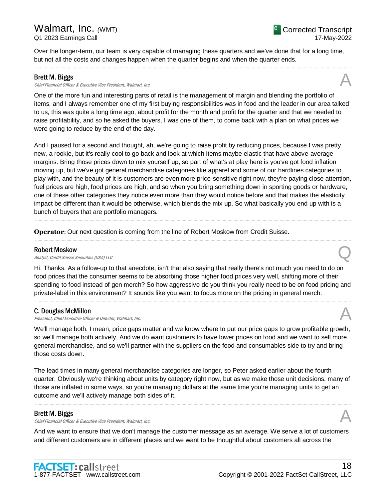Over the longer-term, our team is very capable of managing these quarters and we've done that for a long time, but not all the costs and changes happen when the quarter begins and when the quarter ends.

.....................................................................................................................................................................................................................................................................

#### Brett M. Biggs

Chief Financial Officer & Executive Vice President, Walmart, Inc.

One of the more fun and interesting parts of retail is the management of margin and blending the portfolio of items, and I always remember one of my first buying responsibilities was in food and the leader in our area talked to us, this was quite a long time ago, about profit for the month and profit for the quarter and that we needed to raise profitability, and so he asked the buyers, I was one of them, to come back with a plan on what prices we were going to reduce by the end of the day.

And I paused for a second and thought, ah, we're going to raise profit by reducing prices, because I was pretty new, a rookie, but it's really cool to go back and look at which items maybe elastic that have above-average margins. Bring those prices down to mix yourself up, so part of what's at play here is you've got food inflation moving up, but we've got general merchandise categories like apparel and some of our hardlines categories to play with, and the beauty of it is customers are even more price-sensitive right now, they're paying close attention, fuel prices are high, food prices are high, and so when you bring something down in sporting goods or hardware, one of these other categories they notice even more than they would notice before and that makes the elasticity impact be different than it would be otherwise, which blends the mix up. So what basically you end up with is a bunch of buyers that are portfolio managers.

.....................................................................................................................................................................................................................................................................

.....................................................................................................................................................................................................................................................................

**Operator**: Our next question is coming from the line of Robert Moskow from Credit Suisse.

#### Robert Moskow

**Robert Moskow**<br>Analyst, Credit Suisse Securities (USA) LLC

Hi. Thanks. As a follow-up to that anecdote, isn't that also saying that really there's not much you need to do on food prices that the consumer seems to be absorbing those higher food prices very well, shifting more of their spending to food instead of gen merch? So how aggressive do you think you really need to be on food pricing and private-label in this environment? It sounds like you want to focus more on the pricing in general merch.

.....................................................................................................................................................................................................................................................................

#### C. Douglas McMillon

President, Chief Executive Officer & Director, Walmart, Inc.

We'll manage both. I mean, price gaps matter and we know where to put our price gaps to grow profitable growth, so we'll manage both actively. And we do want customers to have lower prices on food and we want to sell more general merchandise, and so we'll partner with the suppliers on the food and consumables side to try and bring those costs down.

The lead times in many general merchandise categories are longer, so Peter asked earlier about the fourth quarter. Obviously we're thinking about units by category right now, but as we make those unit decisions, many of those are inflated in some ways, so you're managing dollars at the same time you're managing units to get an outcome and we'll actively manage both sides of it.

.....................................................................................................................................................................................................................................................................

#### Brett M. Biggs

**Brett M. Biggs**<br>Chief Financial Officer & Executive Vice President, Walmart, Inc. And Alta Chief Financial Officer & Executive Vice President, Walmart, Inc.

And we want to ensure that we don't manage the customer message as an average. We serve a lot of customers and different customers are in different places and we want to be thoughtful about customers all across the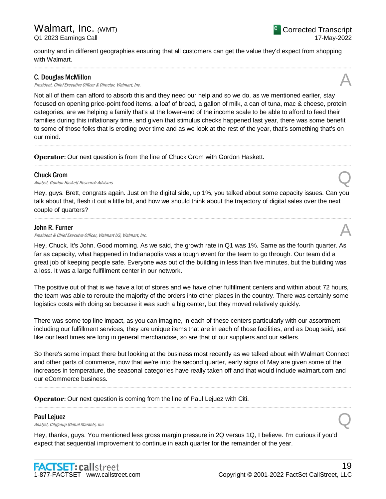country and in different geographies ensuring that all customers can get the value they'd expect from shopping with Walmart.

.....................................................................................................................................................................................................................................................................

#### C. Douglas McMillon

**C. Douglas McMillon**<br>President, Chief Executive Officer & Director, Walmart, Inc.  $\mathcal{A}$ 

Not all of them can afford to absorb this and they need our help and so we do, as we mentioned earlier, stay focused on opening price-point food items, a loaf of bread, a gallon of milk, a can of tuna, mac & cheese, protein categories, are we helping a family that's at the lower-end of the income scale to be able to afford to feed their families during this inflationary time, and given that stimulus checks happened last year, there was some benefit to some of those folks that is eroding over time and as we look at the rest of the year, that's something that's on our mind.

.....................................................................................................................................................................................................................................................................

.....................................................................................................................................................................................................................................................................

**Operator**: Our next question is from the line of Chuck Grom with Gordon Haskett.

#### Chuck Grom

**Chuck Grom**<br>Analyst, Gordon Haskett Research Advisors **Q** 

Hey, guys. Brett, congrats again. Just on the digital side, up 1%, you talked about some capacity issues. Can you talk about that, flesh it out a little bit, and how we should think about the trajectory of digital sales over the next couple of quarters?

.....................................................................................................................................................................................................................................................................

#### John R. Furner

President & Chief Executve Officer, Walmart US, Walmart, Inc.

Hey, Chuck. It's John. Good morning. As we said, the growth rate in Q1 was 1%. Same as the fourth quarter. As far as capacity, what happened in Indianapolis was a tough event for the team to go through. Our team did a great job of keeping people safe. Everyone was out of the building in less than five minutes, but the building was a loss. It was a large fulfillment center in our network.

The positive out of that is we have a lot of stores and we have other fulfillment centers and within about 72 hours, the team was able to reroute the majority of the orders into other places in the country. There was certainly some logistics costs with doing so because it was such a big center, but they moved relatively quickly.

There was some top line impact, as you can imagine, in each of these centers particularly with our assortment including our fulfillment services, they are unique items that are in each of those facilities, and as Doug said, just like our lead times are long in general merchandise, so are that of our suppliers and our sellers.

So there's some impact there but looking at the business most recently as we talked about with Walmart Connect and other parts of commerce, now that we're into the second quarter, early signs of May are given some of the increases in temperature, the seasonal categories have really taken off and that would include walmart.com and our eCommerce business.

.....................................................................................................................................................................................................................................................................

.....................................................................................................................................................................................................................................................................

**Operator**: Our next question is coming from the line of Paul Lejuez with Citi.

#### Paul Lejuez

**Paul Lejuez**<br>Analyst, Citigroup Global Markets, Inc.  $Q$ 

Hey, thanks, guys. You mentioned less gross margin pressure in 2Q versus 1Q, I believe. I'm curious if you'd expect that sequential improvement to continue in each quarter for the remainder of the year.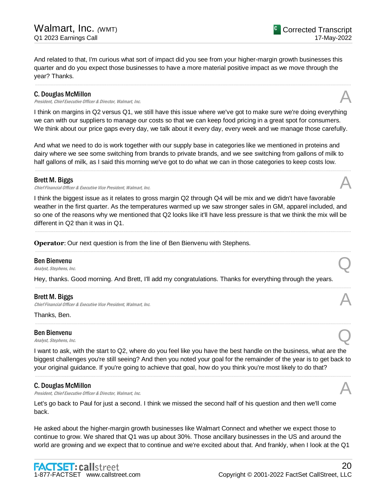And related to that, I'm curious what sort of impact did you see from your higher-margin growth businesses this quarter and do you expect those businesses to have a more material positive impact as we move through the year? Thanks.

.....................................................................................................................................................................................................................................................................

#### C. Douglas McMillon

President, Chief Executive Officer & Director, Walmart, Inc.

I think on margins in Q2 versus Q1, we still have this issue where we've got to make sure we're doing everything we can with our suppliers to manage our costs so that we can keep food pricing in a great spot for consumers. We think about our price gaps every day, we talk about it every day, every week and we manage those carefully.

And what we need to do is work together with our supply base in categories like we mentioned in proteins and dairy where we see some switching from brands to private brands, and we see switching from gallons of milk to half gallons of milk, as I said this morning we've got to do what we can in those categories to keep costs low.

.....................................................................................................................................................................................................................................................................

#### Brett M. Biggs

Chief Financial Officer & Executive Vice President, Walmart, Inc.

I think the biggest issue as it relates to gross margin Q2 through Q4 will be mix and we didn't have favorable weather in the first quarter. As the temperatures warmed up we saw stronger sales in GM, apparel included, and so one of the reasons why we mentioned that Q2 looks like it'll have less pressure is that we think the mix will be different in Q2 than it was in Q1.

.....................................................................................................................................................................................................................................................................

.....................................................................................................................................................................................................................................................................

.....................................................................................................................................................................................................................................................................

.....................................................................................................................................................................................................................................................................

**Operator**: Our next question is from the line of Ben Bienvenu with Stephens.

## Ben Bienvenu **Ben Bienvenu**<br>Analyst, Stephens, Inc.  $\bigotimes$

Hey, thanks. Good morning. And Brett, I'll add my congratulations. Thanks for everything through the years.

#### Brett M. Biggs

Chief Financial Officer & Executive Vice President, Walmart, Inc.

Thanks, Ben.

Ben Bienvenu **Ben Bienvenu**<br>Analyst, Stephens, Inc.  $\bigotimes$ 

I want to ask, with the start to Q2, where do you feel like you have the best handle on the business, what are the biggest challenges you're still seeing? And then you noted your goal for the remainder of the year is to get back to your original guidance. If you're going to achieve that goal, how do you think you're most likely to do that?

.....................................................................................................................................................................................................................................................................

#### C. Douglas McMillon

**C. Douglas McMillon**<br>President, Chief Executive Officer & Director, Walmart, Inc.  $\mathcal{A}$ 

Let's go back to Paul for just a second. I think we missed the second half of his question and then we'll come back.

He asked about the higher-margin growth businesses like Walmart Connect and whether we expect those to continue to grow. We shared that Q1 was up about 30%. Those ancillary businesses in the US and around the world are growing and we expect that to continue and we're excited about that. And frankly, when I look at the Q1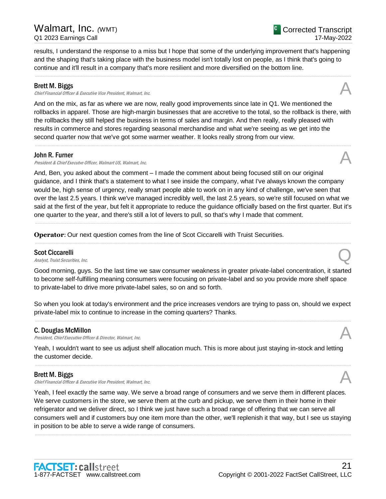Copyright © 2001-2022 FactSet CallStreet, LLC

## results, I understand the response to a miss but I hope that some of the underlying improvement that's happening and the shaping that's taking place with the business model isn't totally lost on people, as I think that's going to continue and it'll result in a company that's more resilient and more diversified on the bottom line.

#### Brett M. Biggs

Chief Financial Officer & Executive Vice President, Walmart, Inc.

And on the mix, as far as where we are now, really good improvements since late in Q1. We mentioned the rollbacks in apparel. Those are high-margin businesses that are accretive to the total, so the rollback is there, with the rollbacks they still helped the business in terms of sales and margin. And then really, really pleased with results in commerce and stores regarding seasonal merchandise and what we're seeing as we get into the second quarter now that we've got some warmer weather. It looks really strong from our view.

.....................................................................................................................................................................................................................................................................

#### John R. Furner

President & Chief Executve Officer, Walmart US, Walmart, Inc.

And, Ben, you asked about the comment – I made the comment about being focused still on our original guidance, and I think that's a statement to what I see inside the company, what I've always known the company would be, high sense of urgency, really smart people able to work on in any kind of challenge, we've seen that over the last 2.5 years. I think we've managed incredibly well, the last 2.5 years, so we're still focused on what we said at the first of the year, but felt it appropriate to reduce the guidance officially based on the first quarter. But it's one quarter to the year, and there's still a lot of levers to pull, so that's why I made that comment.

.....................................................................................................................................................................................................................................................................

.....................................................................................................................................................................................................................................................................

**Operator:** Our next question comes from the line of Scot Ciccarelli with Truist Securities.

## Scot Ciccarelli

**Scot Ciccarelli**<br>Analyst, Truist Securities, Inc.  $\bigotimes$ 

Good morning, guys. So the last time we saw consumer weakness in greater private-label concentration, it started to become self-fulfilling meaning consumers were focusing on private-label and so you provide more shelf space to private-label to drive more private-label sales, so on and so forth.

So when you look at today's environment and the price increases vendors are trying to pass on, should we expect private-label mix to continue to increase in the coming quarters? Thanks. .....................................................................................................................................................................................................................................................................

## C. Douglas McMillon

**C. Douglas McMillon**<br>President, Chief Executive Officer & Director, Walmart, Inc.  $\mathcal{A}$ 

Yeah, I wouldn't want to see us adjust shelf allocation much. This is more about just staying in-stock and letting the customer decide.

.....................................................................................................................................................................................................................................................................

#### Brett M. Biggs

Chief Financial Officer & Executive Vice President, Walmart, Inc.

Yeah, I feel exactly the same way. We serve a broad range of consumers and we serve them in different places. We serve customers in the store, we serve them at the curb and pickup, we serve them in their home in their refrigerator and we deliver direct, so I think we just have such a broad range of offering that we can serve all consumers well and if customers buy one item more than the other, we'll replenish it that way, but I see us staying in position to be able to serve a wide range of consumers.

.....................................................................................................................................................................................................................................................................



![](_page_20_Picture_22.jpeg)

![](_page_20_Picture_23.jpeg)

21

![](_page_20_Picture_24.jpeg)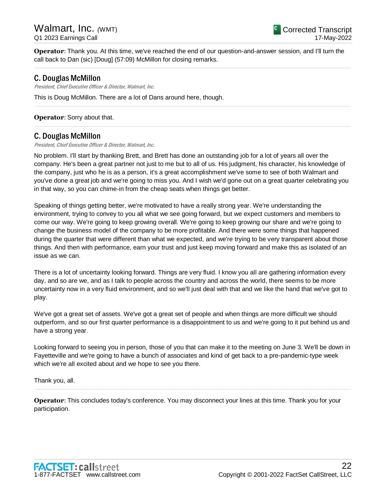**Operator**: Thank you. At this time, we've reached the end of our question-and-answer session, and I'll turn the call back to Dan (sic) [Doug] (57:09) McMillon for closing remarks.

.....................................................................................................................................................................................................................................................................

.....................................................................................................................................................................................................................................................................

.....................................................................................................................................................................................................................................................................

## C. Douglas McMillon

President, Chief Executive Officer & Director, Walmart, Inc.

This is Doug McMillon. There are a lot of Dans around here, though.

#### **Operator**: Sorry about that.

## C. Douglas McMillon

President, Chief Executive Officer & Director, Walmart, Inc.

No problem. I'll start by thanking Brett, and Brett has done an outstanding job for a lot of years all over the company. He's been a great partner not just to me but to all of us. His judgment, his character, his knowledge of the company, just who he is as a person, it's a great accomplishment we've some to see of both Walmart and you've done a great job and we're going to miss you. And I wish we'd gone out on a great quarter celebrating you in that way, so you can chime-in from the cheap seats when things get better.

Speaking of things getting better, we're motivated to have a really strong year. We're understanding the environment, trying to convey to you all what we see going forward, but we expect customers and members to come our way. We're going to keep growing overall. We're going to keep growing our share and we're going to change the business model of the company to be more profitable. And there were some things that happened during the quarter that were different than what we expected, and we're trying to be very transparent about those things. And then with performance, earn your trust and just keep moving forward and make this as isolated of an issue as we can.

There is a lot of uncertainty looking forward. Things are very fluid. I know you all are gathering information every day, and so are we, and as I talk to people across the country and across the world, there seems to be more uncertainty now in a very fluid environment, and so we'll just deal with that and we like the hand that we've got to play.

We've got a great set of assets. We've got a great set of people and when things are more difficult we should outperform, and so our first quarter performance is a disappointment to us and we're going to it put behind us and have a strong year.

Looking forward to seeing you in person, those of you that can make it to the meeting on June 3. We'll be down in Fayetteville and we're going to have a bunch of associates and kind of get back to a pre-pandemic-type week which we're all excited about and we hope to see you there.

.....................................................................................................................................................................................................................................................................

Thank you, all.

**Operator:** This concludes today's conference. You may disconnect your lines at this time. Thank you for your participation.